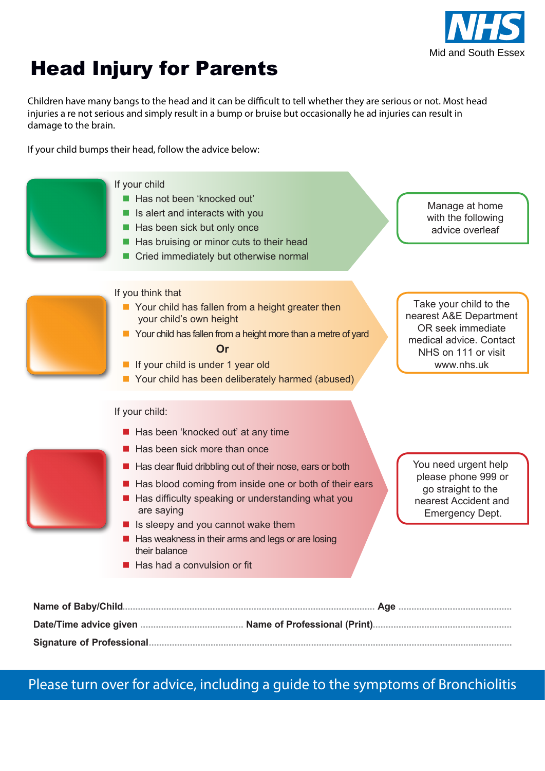

## Head Injury advice for Parents

Children have many bangs to the head and it can be difficult to tell whether they are serious or not. Most head injuries a re not serious and simply result in a bump or bruise but occasionally he ad injuries can result in damage to the brain.

If your child bumps their head, follow the advice below:



## Please turn over for advice, including a guide to the symptoms of Head Injuries